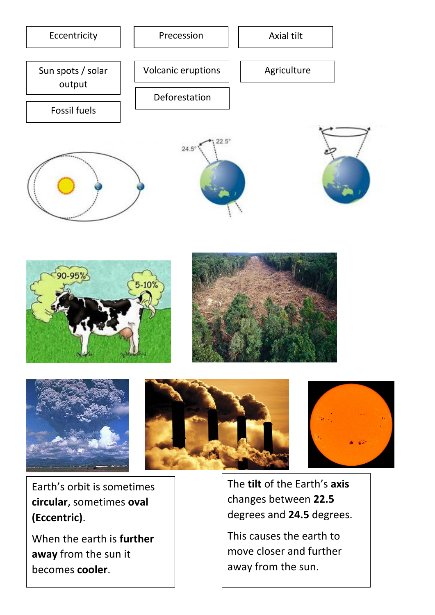





Earth's orbit is sometimes **circular**, sometimes **oval (Eccentric)**.

When the earth is **further away** from the sun it becomes **cooler**.

The **tilt** of the Earth's **axis** changes between **22.5** degrees and **24.5** degrees.

This causes the earth to move closer and further away from the sun.